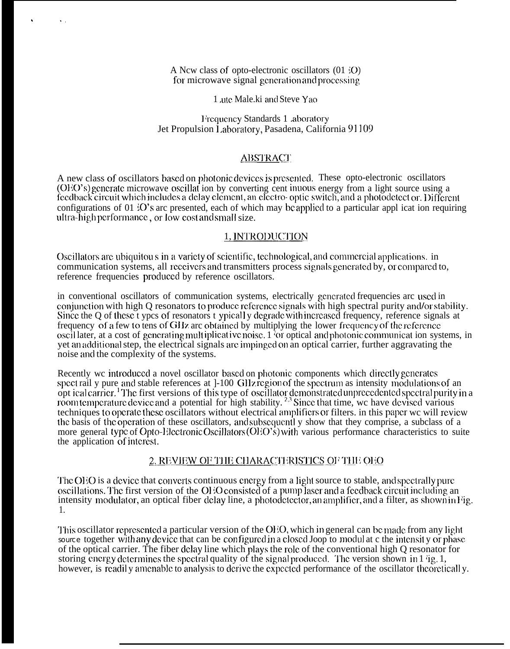A New class of opto-electronic oscillators  $(01 \text{ } ^{\circ}O)$ for microwave signal generation and processing

1 atte Male.ki and Steve Yao

Frequency Standards 1 .aboratory Jet Propulsion Laboratory, Pasadena, California 91109

## **ABSTRACT**

A new class of oscillators based on photonic devices is presented. These opto-electronic oscillators (OEO's) generate microwave oscillat ion by converting cent inuous energy from a light source using a feedback circuit which includes a delay element, an electro-optic switch, and a photodetect or. Different configurations of 01 :O's arc presented, each of which may be applied to a particular appl icat ion requiring ultra-high performance, or low cost and small size.

### 1. INTRODUCTION

Oscillators are ubiquitous in a variety of scientific, technological, and commercial applications. in communication systems, all receivers and transmitters process signals generated by, or compared to, reference frequencies produced by reference oscillators.

in conventional oscillators of communication systems, electrically generated frequencies arc used in conjunction with high Q resonators to produce reference signals with high spectral purity and/or stability. Since the Q of these t ypes of resonators t ypicall y degrade with increased frequency, reference signals at frequency of a few to tens of GHz arc obtained by multiplying the lower frequency of the reference oscillater, at a cost of generating multiplicative noise.  $1\overline{)}$  or optical and photonic communication systems, in yet an additional step, the electrical signals are impinged on an optical carrier, further aggravating the noise and the complexity of the systems.

Recently we introduced a novel oscillator based on photonic components which directly generates spect rail y pure and stable references at 1-100 GHz region of the spectrum as intensity modulations of an optical carrier.<sup>1</sup> The first versions of this type of oscillator demonstrated unprecedented spectral purity in a<br>room temperature device and a potential for high stability.<sup>2,3</sup> Since that time, we have devised various<br>te the basis of the operation of these oscillators, and subsequently show that they comprise, a subclass of a more general type of Opto-Electronic Oscillators (OEO's) with various performance characteristics to suite the application of interest.

# 2. REVIEW OF THE CHARACTERISTICS OF THE OEO

The OEO is a device that converts continuous energy from a light source to stable, and spectrally pure oscillations. The first version of the OEO consisted of a pump laser and a feedback circuit including an intensity modulator, an optical fiber delay line, a photodetector, an amplifier, and a filter, as shown in Fig. 1.

This oscillator represented a particular version of the OEO, which in general can be made from any light source together with any device that can be configured in a closed Joop to modul at c the intensity or phase of the optical carrier. The fiber delay line which plays the role of the conventional high O resonator for storing energy determines the spectral quality of the signal produced. The version shown in 1 ig. 1, however, is readily amenable to analysis to derive the expected performance of the oscillator theoretically.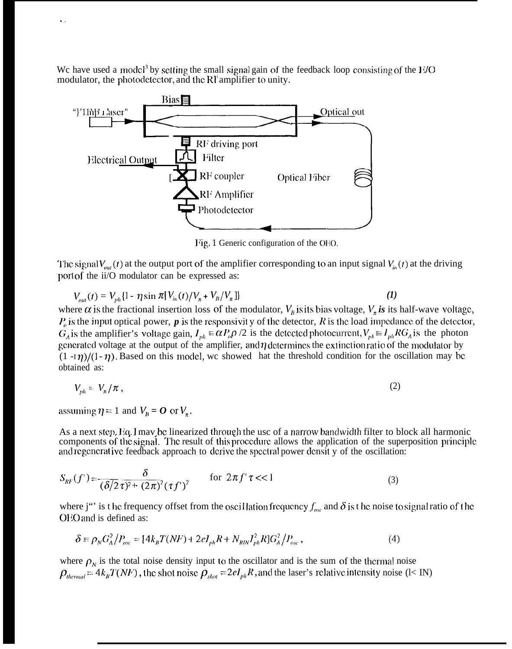We have used a model<sup>3</sup> by setting the small signal gain of the feedback loop consisting of the  $E/O$ modulator, the photodetector, and the RI<sup>i</sup>amplifier to unity.



Fig. 1 Generic configuration of the OEO.

The signal  $V_{out}(t)$  at the output port of the amplifier corresponding to an input signal  $V_{in}(t)$  at the driving port of the ii/O modulator can be expressed as:

$$
V_{out}(t) = V_{ph}\{1 - \eta \sin \pi [V_{in}(t)/V_{n} + V_{B}/V_{n}]\}\tag{1}
$$

where  $\alpha$  is the fractional insertion loss of the modulator,  $V_h$  is its bias voltage,  $V_n$  is its half-wave voltage,  $P<sub>o</sub>$  is the input optical power,  $p$  is the responsivity of the detector,  $R$  is the load impedance of the detector,  $G_A$  is the amplifier's voltage gain,  $I_{ph} \equiv \alpha P_o \rho /2$  is the detected photocurrent,  $V_{ph} \equiv I_{ph} RG_A$  is the photon generated voltage at the output of the amplifier, and  $\eta$  determines the extinction ratio of the modulator by  $(1 -I\eta)/(1 - \eta)$ . Based on this model, we showed hat the threshold condition for the oscillation may be obtained as:

$$
V_{\mu\mu} = V_{\pi}/\pi\,,\tag{2}
$$

assuming  $\eta = 1$  and  $V_B = O$  or  $V_n$ .

,.

As a next step, Eq. 1 may be linearized through the usc of a narrow bandwidth filter to block all harmonic components of the signal. The result of this procedure allows the application of the superposition principle and regenerat ive feedback approach to derive the spectral power densit y of the oscillation:

$$
S_{RF}(f') = \frac{\delta}{(\delta/2 \tau)^2 + (2\pi)^2 (\tau f')^2}
$$
 for  $2\pi f' \tau \ll 1$  (3)

where j"' is t hc frequency offset from the oscillation frequency  $f_{osc}$  and  $\delta$  is t he noise to signal ratio of the OEO and is defined as:

$$
\delta = \rho_N G_A^2 / P_{osc} = [4k_B T(NF) + 2el_{ph} R + N_{RIN} I_{ph}^2 R] G_A^2 / P_{osc}, \qquad (4)
$$

where  $\rho<sub>N</sub>$  is the total noise density input to the oscillator and is the sum of the thermal noise  $\rho_{thermal} = 4k_B T(NF)$ , the shot noise  $\rho_{shot} = 2eI_{ph}R$ , and the laser's relative intensity noise (l< IN)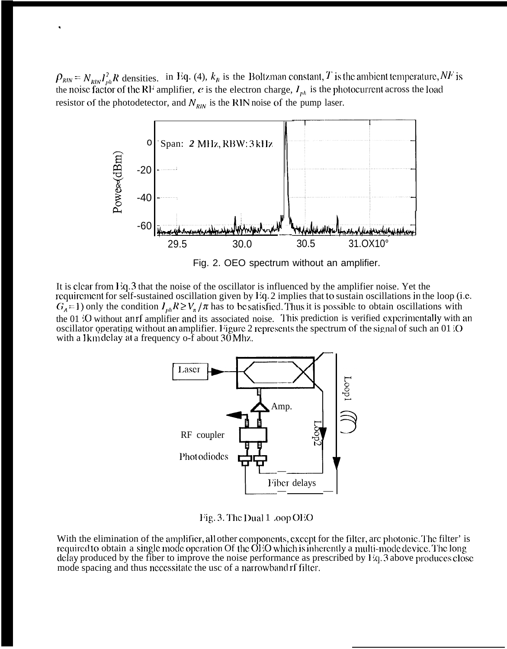$\rho_{\scriptscriptstyle RIN} = N_{\scriptscriptstyle RIN} I_{\scriptscriptstyle ph}^2 R$  densities. in Eq. (4),  $k_B$  is the Boltzman constant, T is the ambient temperature, NF is the noise factor of the RF amplifier, e is the electron charge,  $I_{\scriptscriptstyle ph}$  is the photocurrent ac resistor of the photodetector, and  $N_{\text{RIN}}$  is the RIN noise of the pump laser.



Fig. 2. OEO spectrum without an amplifier.

It is clear from Eq. 3 that the noise of the oscillator is influenced by the amplifier noise. Yet the requirement for self-sustained oscillation given by Eq. 2 implies that to sustain oscillations in the loop (i.e.  $G_A$  = 1) only the condition  $I_{ph}R \ge V_{\pi}/\pi$  has to be satisfied. Thus it is possible to obtain oscillations with the 01 'O without anrf amplifier and its associated noise. This prediction is verified experimentally with an oscillator operating without an amplifier. Figure 2 represents the spectrum of the signal of such an 01 O with a 1km delay at a frequency o-f about 30 Mhz.



Fig. 3. The Dual 1 .00p OEO

With the elimination of the amplifier, all other components, except for the filter, arc photonic. The filter' is required to obtain a single mode operation Of the OEO which is inherently a multi-mode device. The long delay produced by the fiber to improve the noise performance as prescribed by Eq. 3 above produces close mode spacing and thus necessitate the usc of a narrowband of filter.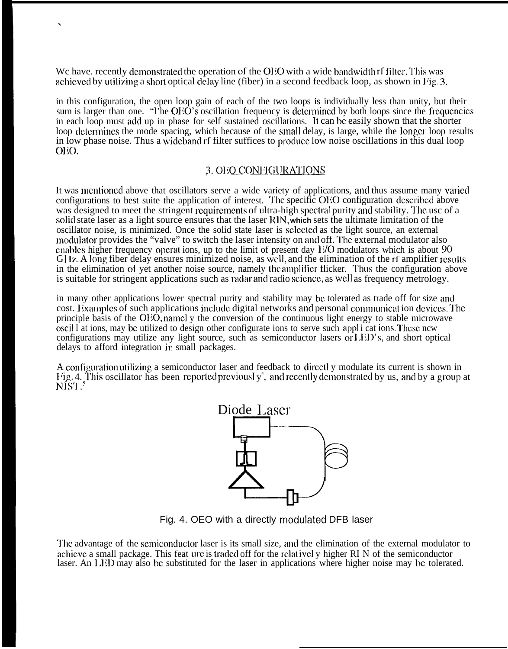We have. recently demonstrated the operation of the OEO with a wide bandwidth rf filter. This was achieved by utilizing a short optical delay line (fiber) in a second feedback loop, as shown in Fig. 3.

.

in this configuration, the open loop gain of each of the two loops is individually less than unity, but their sum is larger than one. "I'he OEO's oscillation frequency is determined by both loops since the frequencies in each loop must add up in phase for self sustained oscillations. It can be easily shown that the shorter loop determines the mode spacing, which because of the small delay, is large, while the longer loop results in low phase noise. Thus a wiclcband rf filter suffices to proclucc low noise oscillations in this dual loop  $O<sub>i</sub>O<sub>j</sub>$ .

# 3. OEO CONFIGURATIONS

It was mentioned above that oscillators serve a wide variety of applications, and thus assume many varied configurations to best suite the application of interest. The specific OEO configuration described above was designed to meet the stringent requirements of ultra-high spectral purity and stability. The usc of a solid state laser as a light source ensures that the laser **RIN, which** sets the ultimate limitation of the oscillator noise, is minimized. Once the solid state laser is sclcctcd as the light source, an external modulator provides the "valve" to switch the laser intensity on and off. The external modulator also cnables higher frequency operat ions, up to the limit of present day  $E/O$  modulators which is about 90 G] 1z. A long fiber delay ensures minimized noise, as well, and the elimination of the rf amplifier results in the elimination of yet another noise source, namely the amplificr flicker. Thus the configuration above is suitable for stringent applications such as radar and radio science, as well as frequency metrology.

in many other applications lower spectral purity and stability may bc tolerated as trade off for size ancl cost. Examples of such applications include digital networks and personal communication devices. The principle basis of the OEO, namely the conversion of the continuous light energy to stable microwave oscil I at ions, may bc utilized to design other configurate ions to serve such appl i cat ions, '1'hcsc ncw configurations may utilize any light source, such as semiconductor lasers or LED's, and short optical delays to afford integration in small packages.

A configuration utilizing a semiconductor laser and feedback to directl y modulate its current is shown in Fig. 4. This oscillator has been-reported previously<sup>4</sup>, and recently demonstrated by us, and by a group at NIST.<sup>5</sup>



Fig. 4. OEO with a directly modulated DFB laser

The advantage of the semiconductor laser is its small size, and the elimination of the external modulator to achieve a small package. This feat urc is traded off for the relativel y higher RI N of the semiconductor laser. An LED may also be substituted for the laser in applications where higher noise may be tolerated.